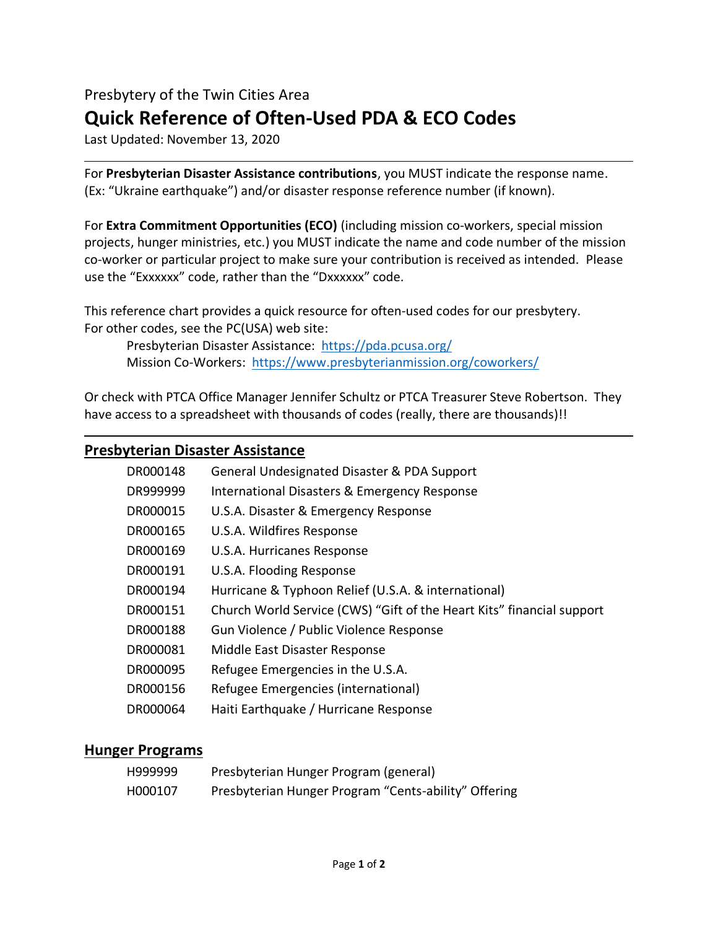# Presbytery of the Twin Cities Area **Quick Reference of Often-Used PDA & ECO Codes**

Last Updated: November 13, 2020

For **Presbyterian Disaster Assistance contributions**, you MUST indicate the response name. (Ex: "Ukraine earthquake") and/or disaster response reference number (if known).

For **Extra Commitment Opportunities (ECO)** (including mission co-workers, special mission projects, hunger ministries, etc.) you MUST indicate the name and code number of the mission co-worker or particular project to make sure your contribution is received as intended. Please use the "Exxxxxx" code, rather than the "Dxxxxxx" code.

This reference chart provides a quick resource for often-used codes for our presbytery. For other codes, see the PC(USA) web site:

Presbyterian Disaster Assistance: <https://pda.pcusa.org/> Mission Co-Workers: <https://www.presbyterianmission.org/coworkers/>

Or check with PTCA Office Manager Jennifer Schultz or PTCA Treasurer Steve Robertson. They have access to a spreadsheet with thousands of codes (really, there are thousands)!!

### **Presbyterian Disaster Assistance**

| DR000148 | General Undesignated Disaster & PDA Support                           |
|----------|-----------------------------------------------------------------------|
| DR999999 | <b>International Disasters &amp; Emergency Response</b>               |
| DR000015 | U.S.A. Disaster & Emergency Response                                  |
| DR000165 | U.S.A. Wildfires Response                                             |
| DR000169 | U.S.A. Hurricanes Response                                            |
| DR000191 | U.S.A. Flooding Response                                              |
| DR000194 | Hurricane & Typhoon Relief (U.S.A. & international)                   |
| DR000151 | Church World Service (CWS) "Gift of the Heart Kits" financial support |
| DR000188 | Gun Violence / Public Violence Response                               |
| DR000081 | Middle East Disaster Response                                         |
| DR000095 | Refugee Emergencies in the U.S.A.                                     |
| DR000156 | Refugee Emergencies (international)                                   |
| DR000064 | Haiti Earthquake / Hurricane Response                                 |

#### **Hunger Programs**

| H999999 | Presbyterian Hunger Program (general)                |
|---------|------------------------------------------------------|
| H000107 | Presbyterian Hunger Program "Cents-ability" Offering |